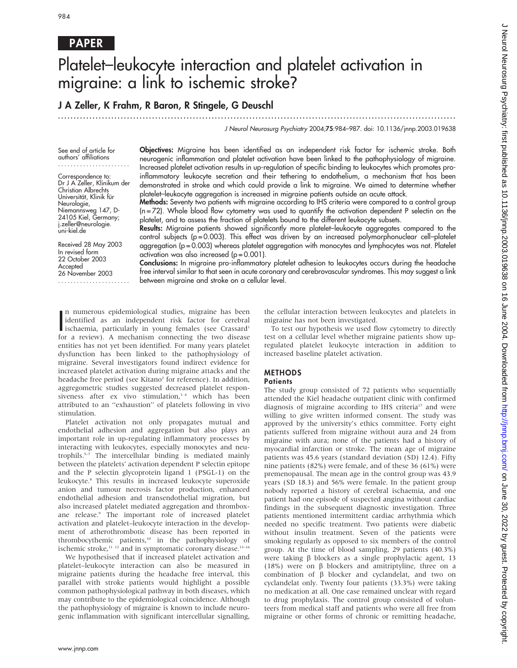# PAPER

# Platelet–leukocyte interaction and platelet activation in migraine: a link to ischemic stroke?

## J A Zeller, K Frahm, R Baron, R Stingele, G Deuschl

...............................................................................................................................

J Neurol Neurosurg Psychiatry 2004;75:984–987. doi: 10.1136/jnnp.2003.019638

See end of article for authors' affiliations .......................

Correspondence to: Dr J A Zeller, Klinikum der Christian Albrechts Universität, Klinik für Neurologie, Niemannsweg 147, D-24105 Kiel, Germany; j.zeller@neurologie. uni-kiel.de

Received 28 May 2003 In revised form 22 October 2003 Accepted 26 November 2003 ....................... Objectives: Migraine has been identified as an independent risk factor for ischemic stroke. Both neurogenic inflammation and platelet activation have been linked to the pathophysiology of migraine. Increased platelet activation results in up-regulation of specific binding to leukocytes which promotes proinflammatory leukocyte secretion and their tethering to endothelium, a mechanism that has been demonstrated in stroke and which could provide a link to migraine. We aimed to determine whether platelet–leukocyte aggregation is increased in migraine patients outside an acute attack.

Methods: Seventy two patients with migraine according to IHS criteria were compared to a control group  $(n=72)$ . Whole blood flow cytometry was used to quantify the activation dependent P selectin on the platelet, and to assess the fraction of platelets bound to the different leukocyte subsets.

Results: Migraine patients showed significantly more platelet–leukocyte aggregates compared to the control subjects (p = 0.003). This effect was driven by an increased polymorphonuclear cell–platelet aggregation (p = 0.003) whereas platelet aggregation with monocytes and lymphocytes was not. Platelet activation was also increased  $(p = 0.001)$ .

Conclusions: In migraine pro-inflammatory platelet adhesion to leukocytes occurs during the headache free interval similar to that seen in acute coronary and cerebrovascular syndromes. This may suggest a link between migraine and stroke on a cellular level.

In numerous epidemiological studies, migraine has been<br>identified as an independent risk factor for cerebral<br>ischaemia, particularly in young females (see Crassard n numerous epidemiological studies, migraine has been identified as an independent risk factor for cerebral for a review). A mechanism connecting the two disease entities has not yet been identified. For many years platelet dysfunction has been linked to the pathophysiology of migraine. Several investigators found indirect evidence for increased platelet activation during migraine attacks and the headache free period (see Kitano<sup>2</sup> for reference). In addition, aggregometric studies suggested decreased platelet responsiveness after ex vivo stimulation,<sup>34</sup> which has been attributed to an ''exhaustion'' of platelets following in vivo stimulation.

Platelet activation not only propagates mutual and endothelial adhesion and aggregation but also plays an important role in up-regulating inflammatory processes by interacting with leukocytes, especially monocytes and neutrophils.5–7 The intercellular binding is mediated mainly between the platelets' activation dependent P selectin epitope and the P selectin glycoprotein ligand 1 (PSGL-1) on the leukocyte.8 This results in increased leukocyte superoxide anion and tumour necrosis factor production, enhanced endothelial adhesion and transendothelial migration, but also increased platelet mediated aggregation and thromboxane release.<sup>9</sup> The important role of increased platelet activation and platelet–leukocyte interaction in the development of atherothrombotic disease has been reported in thrombocythemic patients,<sup>10</sup> in the pathophysiology of ischemic stroke,<sup>11 12</sup> and in symptomatic coronary disease.<sup>13-16</sup>

We hypothesised that if increased platelet activation and platelet–leukocyte interaction can also be measured in migraine patients during the headache free interval, this parallel with stroke patients would highlight a possible common pathophysiological pathway in both diseases, which may contribute to the epidemiological coincidence. Although the pathophysiology of migraine is known to include neurogenic inflammation with significant intercellular signalling,

the cellular interaction between leukocytes and platelets in migraine has not been investigated.

To test our hypothesis we used flow cytometry to directly test on a cellular level whether migraine patients show upregulated platelet leukocyte interaction in addition to increased baseline platelet activation.

## METHODS

## **Patients**

The study group consisted of 72 patients who sequentially attended the Kiel headache outpatient clinic with confirmed diagnosis of migraine according to IHS criteria<sup>17</sup> and were willing to give written informed consent. The study was approved by the university's ethics committee. Forty eight patients suffered from migraine without aura and 24 from migraine with aura; none of the patients had a history of myocardial infarction or stroke. The mean age of migraine patients was 45.6 years (standard deviation (SD) 12.4). Fifty nine patients (82%) were female, and of these 36 (61%) were premenopausal. The mean age in the control group was 43.9 years (SD 18.3) and 56% were female. In the patient group nobody reported a history of cerebral ischaemia, and one patient had one episode of suspected angina without cardiac findings in the subsequent diagnostic investigation. Three patients mentioned intermittent cardiac arrhythmia which needed no specific treatment. Two patients were diabetic without insulin treatment. Seven of the patients were smoking regularly as opposed to six members of the control group. At the time of blood sampling, 29 patients (40.3%) were taking  $\beta$  blockers as a single prophylactic agent, 13 (18%) were on  $\beta$  blockers and amitriptyline, three on a combination of  $\beta$  blocker and cyclandelat, and two on cyclandelat only. Twenty four patients (33.3%) were taking no medication at all. One case remained unclear with regard to drug prophylaxis. The control group consisted of volunteers from medical staff and patients who were all free from migraine or other forms of chronic or remitting headache,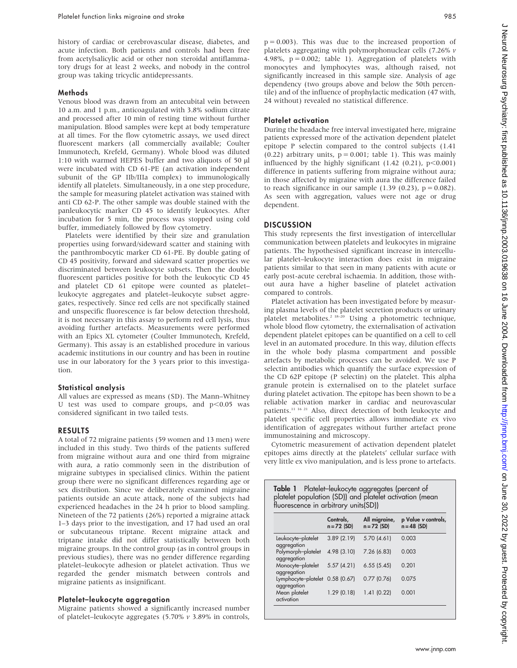history of cardiac or cerebrovascular disease, diabetes, and acute infection. Both patients and controls had been free from acetylsalicylic acid or other non steroidal antiflammatory drugs for at least 2 weeks, and nobody in the control group was taking tricyclic antidepressants.

## Methods

Venous blood was drawn from an antecubital vein between 10 a.m. and 1 p.m., anticoagulated with 3.8% sodium citrate and processed after 10 min of resting time without further manipulation. Blood samples were kept at body temperature at all times. For the flow cytometric assays, we used direct fluorescent markers (all commercially available; Coulter Immunotech, Krefeld, Germany). Whole blood was diluted 1:10 with warmed HEPES buffer and two aliquots of 50  $\mu$ l were incubated with CD 61-PE (an activation independent subunit of the GP IIb/IIIa complex) to immunologically identify all platelets. Simultaneously, in a one step procedure, the sample for measuring platelet activation was stained with anti CD 62-P. The other sample was double stained with the panleukocytic marker CD 45 to identify leukocytes. After incubation for 5 min, the process was stopped using cold buffer, immediately followed by flow cytometry.

Platelets were identified by their size and granulation properties using forward/sideward scatter and staining with the panthrombocytic marker CD 61-PE. By double gating of CD 45 positivity, forward and sideward scatter properties we discriminated between leukocyte subsets. Then the double fluorescent particles positive for both the leukocytic CD 45 and platelet CD 61 epitope were counted as platelet– leukocyte aggregates and platelet–leukocyte subset aggregates, respectively. Since red cells are not specifically stained and unspecific fluorescence is far below detection threshold, it is not necessary in this assay to perform red cell lysis, thus avoiding further artefacts. Measurements were performed with an Epics XL cytometer (Coulter Immunotech, Krefeld, Germany). This assay is an established procedure in various academic institutions in our country and has been in routine use in our laboratory for the 3 years prior to this investigation.

### Statistical analysis

All values are expressed as means (SD). The Mann–Whitney U test was used to compare groups, and  $p<0.05$  was considered significant in two tailed tests.

## RESULTS

A total of 72 migraine patients (59 women and 13 men) were included in this study. Two thirds of the patients suffered from migraine without aura and one third from migraine with aura, a ratio commonly seen in the distribution of migraine subtypes in specialised clinics. Within the patient group there were no significant differences regarding age or sex distribution. Since we deliberately examined migraine patients outside an acute attack, none of the subjects had experienced headaches in the 24 h prior to blood sampling. Nineteen of the 72 patients (26%) reported a migraine attack 1–3 days prior to the investigation, and 17 had used an oral or subcutaneous triptane. Recent migraine attack and triptane intake did not differ statistically between both migraine groups. In the control group (as in control groups in previous studies), there was no gender difference regarding platelet–leukocyte adhesion or platelet activation. Thus we regarded the gender mismatch between controls and migraine patients as insignificant.

## Platelet–leukocyte aggregation

Migraine patients showed a significantly increased number of platelet–leukocyte aggregates (5.70% v 3.89% in controls,  $p = 0.003$ ). This was due to the increased proportion of platelets aggregating with polymorphonuclear cells (7.26% v 4.98%,  $p = 0.002$ ; table 1). Aggregation of platelets with monocytes and lymphocytes was, although raised, not significantly increased in this sample size. Analysis of age dependency (two groups above and below the 50th percentile) and of the influence of prophylactic medication (47 with, 24 without) revealed no statistical difference.

## Platelet activation

During the headache free interval investigated here, migraine patients expressed more of the activation dependent platelet epitope P selectin compared to the control subjects (1.41 (0.22) arbitrary units,  $p = 0.001$ ; table 1). This was mainly influenced by the highly significant  $(1.42 \ (0.21), \ p<0.001)$ difference in patients suffering from migraine without aura; in those affected by migraine with aura the difference failed to reach significance in our sample  $(1.39 (0.23), p = 0.082)$ . As seen with aggregation, values were not age or drug dependent.

## **DISCUSSION**

This study represents the first investigation of intercellular communication between platelets and leukocytes in migraine patients. The hypothesised significant increase in intercellular platelet–leukocyte interaction does exist in migraine patients similar to that seen in many patients with acute or early post-acute cerebral ischaemia. In addition, those without aura have a higher baseline of platelet activation compared to controls.

Platelet activation has been investigated before by measuring plasma levels of the platelet secretion products or urinary platelet metabolites.2 18–20 Using a photometric technique, whole blood flow cytometry, the externalisation of activation dependent platelet epitopes can be quantified on a cell to cell level in an automated procedure. In this way, dilution effects in the whole body plasma compartment and possible artefacts by metabolic processes can be avoided. We use P selectin antibodies which quantify the surface expression of the CD 62P epitope (P selectin) on the platelet. This alpha granule protein is externalised on to the platelet surface during platelet activation. The epitope has been shown to be a reliable activation marker in cardiac and neurovascular patients.<sup>11 16 21</sup> Also, direct detection of both leukocyte and platelet specific cell properties allows immediate ex vivo identification of aggregates without further artefact prone immunostaining and microscopy.

Cytometric measurement of activation dependent platelet epitopes aims directly at the platelets' cellular surface with very little ex vivo manipulation, and is less prone to artefacts.

|                                                | Controls,<br>$n = 72$ (SD) | All migraine,<br>$n = 72$ (SD) | p Value v controls,<br>$n = 48$ (SD) |
|------------------------------------------------|----------------------------|--------------------------------|--------------------------------------|
|                                                |                            |                                |                                      |
| Leukocyte-platelet<br>aggregation              | 3.89(2.19)                 | 5.70(4.61)                     | 0.003                                |
| Polymorph-platelet<br>aggregation              | 4.98 (3.10)                | 7.26 (6.83)                    | 0.003                                |
| Monocyte-platelet<br>aggregation               | 5.57(4.21)                 | 6.55(5.45)                     | 0.201                                |
| Lymphocyte-platelet 0.58 (0.67)<br>aggregation |                            | 0.77(0.76)                     | 0.075                                |
| Mean platelet<br>activation                    | 1.29(0.18)                 | 1.41(0.22)                     | 0.001                                |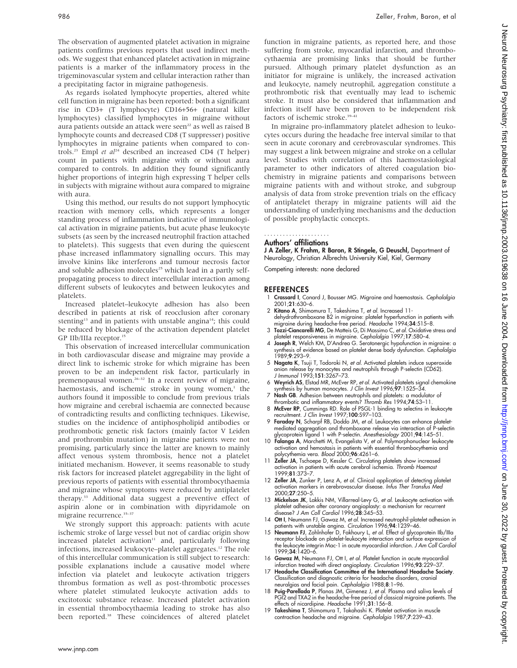The observation of augmented platelet activation in migraine patients confirms previous reports that used indirect methods. We suggest that enhanced platelet activation in migraine patients is a marker of the inflammatory process in the trigeminovascular system and cellular interaction rather than a precipitating factor in migraine pathogenesis.

As regards isolated lymphocyte properties, altered white cell function in migraine has been reported: both a significant rise in CD3+ (T lymphocyte) CD16+56+ (natural killer lymphocytes) classified lymphocytes in migraine without aura patients outside an attack were seen<sup>22</sup> as well as raised B lymphocyte counts and decreased CD8 (T suppresser) positive lymphocytes in migraine patients when compared to controls.<sup>23</sup> Empl et  $al^{24}$  described an increased CD4 (T helper) count in patients with migraine with or without aura compared to controls. In addition they found significantly higher proportions of integrin high expressing T helper cells in subjects with migraine without aura compared to migraine with aura.

Using this method, our results do not support lymphocytic reaction with memory cells, which represents a longer standing process of inflammation indicative of immunological activation in migraine patients, but acute phase leukocyte subsets (as seen by the increased neutrophil fraction attached to platelets). This suggests that even during the quiescent phase increased inflammatory signalling occurs. This may involve kinins like interferons and tumour necrosis factor and soluble adhesion molecules<sup>25</sup> which lead in a partly selfpropagating process to direct intercellular interaction among different subsets of leukocytes and between leukocytes and platelets.

Increased platelet–leukocyte adhesion has also been described in patients at risk of reocclusion after coronary stenting<sup>13</sup> and in patients with unstable angina<sup>14</sup>; this could be reduced by blockage of the activation dependent platelet GP IIb/IIIa receptor.<sup>15</sup>

This observation of increased intercellular communication in both cardiovascular disease and migraine may provide a direct link to ischemic stroke for which migraine has been proven to be an independent risk factor, particularly in premenopausal women.<sup>26–32</sup> In a recent review of migraine, haemostasis, and ischemic stroke in young women, $<sup>1</sup>$  the</sup> authors found it impossible to conclude from previous trials how migraine and cerebral ischaemia are connected because of contradicting results and conflicting techniques. Likewise, studies on the incidence of antiphospholipid antibodies or prothrombotic genetic risk factors (mainly factor V Leiden and prothrombin mutation) in migraine patients were not promising, particularly since the latter are known to mainly affect venous system thrombosis, hence not a platelet initiated mechanism. However, it seems reasonable to study risk factors for increased platelet aggregability in the light of previous reports of patients with essential thrombocythaemia and migraine whose symptoms were reduced by antiplatelet therapy.33 Additional data suggest a preventive effect of aspirin alone or in combination with dipyridamole on migraine recurrence.<sup>35-37</sup>

We strongly support this approach: patients with acute ischemic stroke of large vessel but not of cardiac origin show  $increased$  platelet activation $11$  and, particularly following infections, increased leukocyte–platelet aggregates.<sup>12</sup> The role of this intercellular communication is still subject to research: possible explanations include a causative model where infection via platelet and leukocyte activation triggers thrombus formation as well as post-thrombotic processes where platelet stimulated leukocyte activation adds to excitotoxic substance release. Increased platelet activation in essential thrombocythaemia leading to stroke has also been reported.<sup>38</sup> These coincidences of altered platelet

function in migraine patients, as reported here, and those suffering from stroke, myocardial infarction, and thrombocythaemia are promising links that should be further pursued. Although primary platelet dysfunction as an initiator for migraine is unlikely, the increased activation and leukocyte, namely neutrophil, aggregation constitute a prothrombotic risk that eventually may lead to ischemic stroke. It must also be considered that inflammation and infection itself have been proven to be independent risk factors of ischemic stroke.<sup>39-41</sup>

In migraine pro-inflammatory platelet adhesion to leukocytes occurs during the headache free interval similar to that seen in acute coronary and cerebrovascular syndromes. This may suggest a link between migraine and stroke on a cellular level. Studies with correlation of this haemostasiological parameter to other indicators of altered coagulation biochemistry in migraine patients and comparisons between migraine patients with and without stroke, and subgroup analysis of data from stroke prevention trials on the efficacy of antiplatelet therapy in migraine patients will aid the understanding of underlying mechanisms and the deduction of possible prophylactic concepts.

#### Authors' affiliations .....................

J A Zeller, K Frahm, R Baron, R Stingele, G Deuschl, Department of Neurology, Christian Albrechts University Kiel, Kiel, Germany

Competing interests: none declared

## REFERENCES

- Crassard I, Conard J, Bousser MG. Migraine and haemostasis. Cephalalgia 2001;21:630–6.
- 2 Kitano A, Shimomura T, Takeshima T, et al. Increased 11dehydrothromboxane B2 in migraine: platelet hyperfunction in patients with<br>1994;**34**:515–8.<br>3 Tozzi-Ciancarelli MG, De Matteis G, Di Massimo C, *et al.* Oxidative stress and
- 
- platelet responsiveness in migraine. Cephalalgia 1997;17:580–4.<br>4 **Joseph R**, Welch KM, D'Andrea G. Serotonergic hypofunction in migraine: a<br>synthesis of evidence based on platelet dense body dysfunction. Cephalalgia 1989;9:293–9.
- 5 Nagata K, Tsuji T, Todoroki N, et al. Activated platelets induce superoxide anion release by monocytes and neutrophils through P-selectin (CD62). J Immunol 1993;151:3267–73.
- 6 Weyrich AS, Elstad MR, McEver RP, et al. Activated platelets signal chemokine synthesis by human monocytes. J Clin Invest 1996;97:1525-34.
- 7 Nash GB. Adhesion between neutrophils and platelets: a modulator of
- thrombotic and inflammatory events? Thromb Res 1994;74:S3–11. 8 McEver RP, Cummings RD. Role of PSGL-1 binding to selectins in leukocyte recruitment. J Clin Invest 1997;100:S97–103.
- 9 Faraday N, Scharpf RB, Doddo JM, et al. Leukocytes can enhance plateletmediated aggregation and thromboxane release via interaction of P-selectin glycoprotein ligand 1 with P-selectin. Anesthesiology 2001;94:145–51.
- 10 Falanga A, Marchetti M, Evangelista V, et al. Polymorphonuclear leukocyte activation and hemostasis in patients with essential thrombocythemia and polycythemia vera. Blood 2000;96:4261–6.
- 11 Zeller JA, Tschoepe D, Kessler C. Circulating platelets show increased activation in patients with acute cerebral ischemia. Thromb Haemost 1999;81:373–7.
- 12 Zeller JA, Zunker P, Lenz A, et al. Clinical application of detecting platelet activation markers in cerebrovascular disease. Infus Ther Transfus Med 2000;27:250–5.
- 13 Mickelson JK, Lakkis NM, Villarreal-Levy G, *et al.* Leukocyte activation with<br>platelet adhesion after coronary angioplasty: a mechanism for recurrent<br>disease? J Am Coll Cardiol 1996;**28**:345–53.
- 14 Ott I, Neumann FJ, Gawaz M, et al. Increased neutrophil-platelet adhesion in
- patients with unstable angina. *Circulation* 1996;**94**:1239–46.<br>15 **Neumann FJ**, Zohlnhofer D, Fakhoury L, *et al.* Effect of glycoprotein IIb/IIIa receptor blockade on platelet-leukocyte interaction and surface expression of the leukocyte integrin Mac-1 in acute myocardial infarction. J Am Coll Cardiol 1999;34:1420–6.
- 16 Gawaz M, Neumann FJ, Ott I, et al. Platelet function in acute myocardial infarction treated with direct angioplasty. Circulation 1996;93:229–37.
- 17 Headache Classification Committee of the International Headache Society. Classification and diagnostic criteria for headache disorders, cranial neuralgias and facial pain. Cephalalgia 1988;8:1–96.
- 18 Puig-Parellada P, Planas JM, Gimenez J, et al. Plasma and saliva levels of PGI2 and TXA2 in the headache-tree period of classical migraine patients. The<br>effects of nicardipine. *Headache* 1991;**31**:156–8.
- 19 Takeshima T, Shimomura T, Takahashi K. Platelet activation in muscle contraction headache and migraine. Cephalalgia 1987;7:239–43.